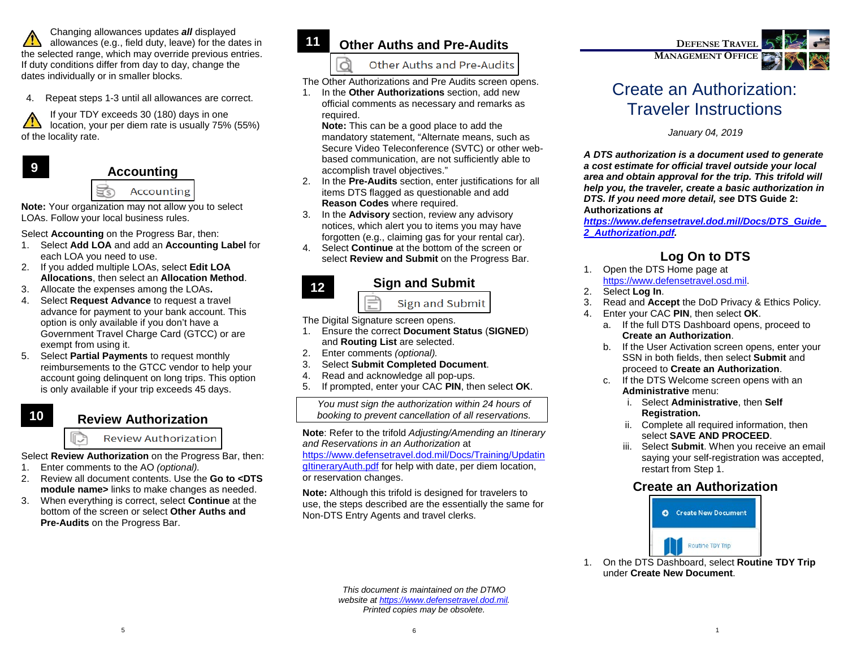Changing allowances updates *all* displayed allowances (e.g., field duty, leave) for the dates in the selected range, which may override previous entries. If duty conditions differ from day to day, change the dates individually or in smaller blocks.

4. Repeat steps 1-3 until all allowances are correct.

If your TDY exceeds 30 (180) days in one location, your per diem rate is usually 75% (55%) of the locality rate.



ı

#### **Accounting**

#### Ħ Accounting

**Note:** Your organization may not allow you to select LOAs. Follow your local business rules.

Select **Accounting** on the Progress Bar, then:

- 1. Select **Add LOA** and add an **Accounting Label** for each LOA you need to use.
- 2. If you added multiple LOAs, select **Edit LOA Allocations**, then select an **Allocation Method**.
- 3. Allocate the expenses among the LOAs**.**
- 4. Select **Request Advance** to request a travel advance for payment to your bank account. This option is only available if you don't have a Government Travel Charge Card (GTCC) or are exempt from using it.
- 5. Select **Partial Payments** to request monthly reimbursements to the GTCC vendor to help your account going delinquent on long trips. This option is only available if your trip exceeds 45 days.

#### **Review Authorization 10**

**Review Authorization** 

Select **Review Authorization** on the Progress Bar, then:

- 1. Enter comments to the AO *(optional).*
- 2. Review all document contents. Use the **Go to <DTS module name>** links to make changes as needed.
- 3. When everything is correct, select **Continue** at the bottom of the screen or select **Other Auths and Pre-Audits** on the Progress Bar.

## **Other Auths and Pre-Audits**

Other Auths and Pre-Audits

The Other Authorizations and Pre Audits screen opens.

1. In the **Other Authorizations** section, add new official comments as necessary and remarks as required.

**Note:** This can be a good place to add the mandatory statement, "Alternate means, such as Secure Video Teleconference (SVTC) or other webbased communication, are not sufficiently able to accomplish travel objectives."

- 2. In the **Pre-Audits** section, enter justifications for all items DTS flagged as questionable and add **Reason Codes** where required.
- 3. In the **Advisory** section, review any advisory notices, which alert you to items you may have forgotten (e.g., claiming gas for your rental car).
- 4. Select **Continue** at the bottom of the screen or select **Review and Submit** on the Progress Bar.



### **Sign and Submit**

**Sign and Submit** 

The Digital Signature screen opens.

- 1. Ensure the correct **Document Status** (**SIGNED**) and **Routing List** are selected.
- 2. Enter comments *(optional).*
- 3. Select **Submit Completed Document**.
- 4. Read and acknowledge all pop-ups.
- 5. If prompted, enter your CAC **PIN**, then select **OK**.

*You must sign the authorization within 24 hours of booking to prevent cancellation of all reservations.*

**Note**: Refer to the trifold *Adjusting/Amending an Itinerary and Reservations in an Authorization* at

[https://www.defensetravel.dod.mil/Docs/Training/Updatin](https://www.defensetravel.dod.mil/Docs/Training/UpdatingItineraryAuth.pdf) gltineraryAuth.pdf for help with date, per diem location, or reservation changes.

**Note:** Although this trifold is designed for travelers to use, the steps described are the essentially the same for Non-DTS Entry Agents and travel clerks.

> *This document is maintained on the DTMO website a[t https://www.defensetravel.dod.mil.](https://www.defensetravel.dod.mil/) Printed copies may be obsolete.*



# Create an Authorization: Traveler Instructions

*January 04, 2019*

*A DTS authorization is a document used to generate a cost estimate for official travel outside your local area and obtain approval for the trip. This trifold will help you, the traveler, create a basic authorization in DTS. If you need more detail, see* **DTS Guide 2: Authorizations** *at* 

*[https://www.defensetravel.dod.mil/Docs/DTS\\_Guide\\_](https://www.defensetravel.dod.mil/Docs/DTS_Guide_2_Authorization.pdf) [2\\_Authorization.pdf.](https://www.defensetravel.dod.mil/Docs/DTS_Guide_2_Authorization.pdf)*

# **Log On to DTS**

- 1. Open the DTS Home page at [https://www.defensetravel.osd.mil.](https://www.defensetravel.osd.mil/)
- 2. Select **Log In**.
- 3. Read and **Accept** the DoD Privacy & Ethics Policy.
- 4. Enter your CAC **PIN**, then select **OK**.
	- a. If the full DTS Dashboard opens, proceed to **Create an Authorization**.
	- b. If the User Activation screen opens, enter your SSN in both fields, then select **Submit** and proceed to **Create an Authorization**.
	- c. If the DTS Welcome screen opens with an **Administrative** menu:
		- i. Select **Administrative**, then **Self Registration.**
		- ii. Complete all required information, then select **SAVE AND PROCEED**.
		- iii. Select **Submit**. When you receive an email saying your self-registration was accepted, restart from Step 1.

### **Create an Authorization**



1. On the DTS Dashboard, select **Routine TDY Trip** under **Create New Document**.